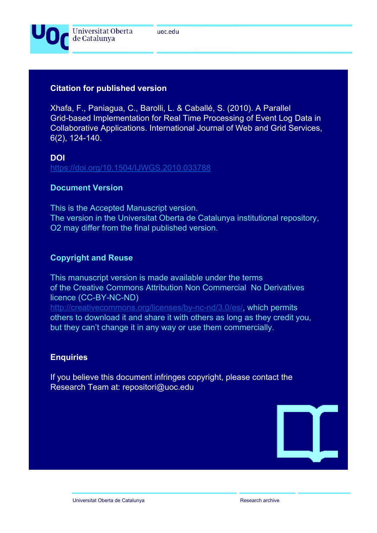

# **Citation for published version**

Xhafa, F., Paniagua, C., Barolli, L. & Caballé, S. (2010). A Parallel Grid-based Implementation for Real Time Processing of Event Log Data in Collaborative Applications. International Journal of Web and Grid Services, 6(2), 124-140.

## **DOI**

<https://doi.org/10.1504/IJWGS.2010.033788>

## **Document Version**

This is the Accepted Manuscript version. The version in the Universitat Oberta de Catalunya institutional repository, O2 may differ from the final published version.

# **Copyright and Reuse**

This manuscript version is made available under the terms of the Creative Commons Attribution Non Commercial No Derivatives licence (CC-BY-NC-ND)

[http://creativecommons.org/licenses/by-nc-nd/3.0/es/,](http://creativecommons.org/licenses/by-nc-nd/3.0/es/) which permits others to download it and share it with others as long as they credit you, but they can't change it in any way or use them commercially.

# **Enquiries**

If you believe this document infringes copyright, please contact the Research Team at: repositori@uoc.edu

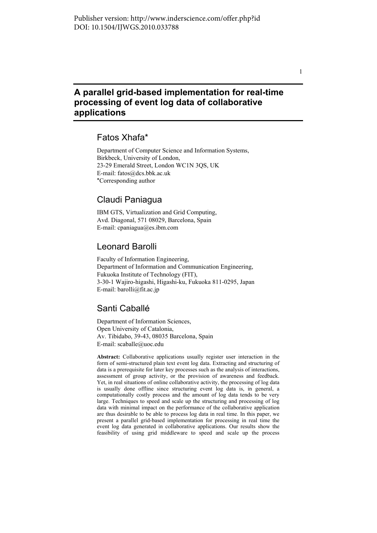# **A parallel grid-based implementation for real-time processing of event log data of collaborative applications**

# Fatos Xhafa\*

Department of Computer Science and Information Systems, Birkbeck, University of London, 23-29 Emerald Street, London WC1N 3QS, UK E-mail: fatos@dcs.bbk.ac.uk \*Corresponding author

## Claudi Paniagua

IBM GTS, Virtualization and Grid Computing, Avd. Diagonal, 571 08029, Barcelona, Spain E-mail: cpaniagua@es.ibm.com

# Leonard Barolli

Faculty of Information Engineering, Department of Information and Communication Engineering, Fukuoka Institute of Technology (FIT), 3-30-1 Wajiro-higashi, Higashi-ku, Fukuoka 811-0295, Japan E-mail: barolli@fit.ac.jp

# Santi Caballé

Department of Information Sciences, Open University of Catalonia, Av. Tibidabo, 39-43, 08035 Barcelona, Spain E-mail: scaballe@uoc.edu

**Abstract:** Collaborative applications usually register user interaction in the form of semi-structured plain text event log data. Extracting and structuring of data is a prerequisite for later key processes such as the analysis of interactions, assessment of group activity, or the provision of awareness and feedback. Yet, in real situations of online collaborative activity, the processing of log data is usually done offline since structuring event log data is, in general, a computationally costly process and the amount of log data tends to be very large. Techniques to speed and scale up the structuring and processing of log data with minimal impact on the performance of the collaborative application are thus desirable to be able to process log data in real time. In this paper, we present a parallel grid-based implementation for processing in real time the event log data generated in collaborative applications. Our results show the feasibility of using grid middleware to speed and scale up the process 1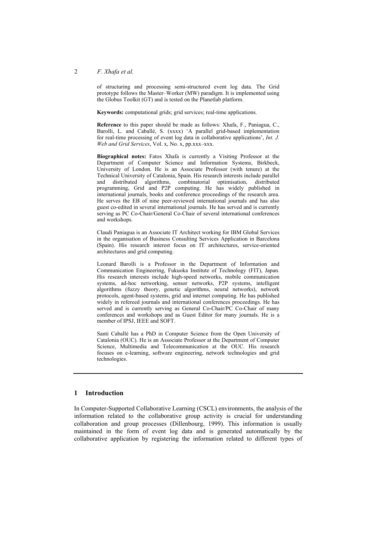of structuring and processing semi-structured event log data. The Grid prototype follows the Master–Worker (MW) paradigm. It is implemented using the Globus Toolkit (GT) and is tested on the Planetlab platform.

**Keywords:** computational grids; grid services; real-time applications.

**Reference** to this paper should be made as follows: Xhafa, F., Paniagua, C., Barolli, L. and Caballé, S. (xxxx) 'A parallel grid-based implementation for real-time processing of event log data in collaborative applications', *Int. J. Web and Grid Services*, Vol. x, No. x, pp.xxx–xxx.

**Biographical notes:** Fatos Xhafa is currently a Visiting Professor at the Department of Computer Science and Information Systems, Birkbeck, University of London. He is an Associate Professor (with tenure) at the Technical University of Catalonia, Spain. His research interests include parallel and distributed algorithms, combinatorial optimisation, distributed programming, Grid and P2P computing. He has widely published in international journals, books and conference proceedings of the research area. He serves the EB of nine peer-reviewed international journals and has also guest co-edited in several international journals. He has served and is currently serving as PC Co-Chair/General Co-Chair of several international conferences and workshops.

Claudi Paniagua is an Associate IT Architect working for IBM Global Services in the organisation of Business Consulting Services Application in Barcelona (Spain). His research interest focus on IT architectures, service-oriented architectures and grid computing.

Leonard Barolli is a Professor in the Department of Information and Communication Engineering, Fukuoka Institute of Technology (FIT), Japan. His research interests include high-speed networks, mobile communication systems, ad-hoc networking, sensor networks, P2P systems, intelligent algorithms (fuzzy theory, genetic algorithms, neural networks), network protocols, agent-based systems, grid and internet computing. He has published widely in refereed journals and international conferences proceedings. He has served and is currently serving as General Co-Chair/PC Co-Chair of many conferences and workshops and as Guest Editor for many journals. He is a member of IPSJ, IEEE and SOFT.

Santi Caballé has a PhD in Computer Science from the Open University of Catalonia (OUC). He is an Associate Professor at the Department of Computer Science, Multimedia and Telecommunication at the OUC. His research focuses on e-learning, software engineering, network technologies and grid technologies.

#### **1 Introduction**

In Computer-Supported Collaborative Learning (CSCL) environments, the analysis of the information related to the collaborative group activity is crucial for understanding collaboration and group processes (Dillenbourg, 1999). This information is usually maintained in the form of event log data and is generated automatically by the collaborative application by registering the information related to different types of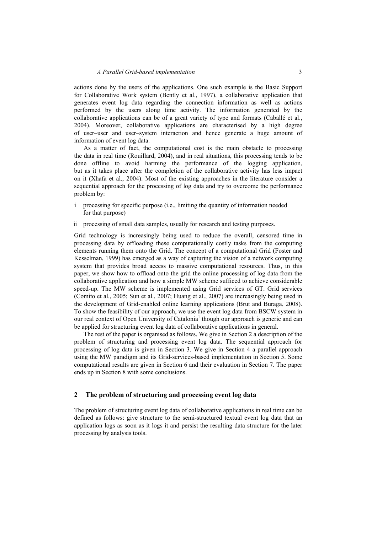actions done by the users of the applications. One such example is the Basic Support for Collaborative Work system (Bently et al., 1997), a collaborative application that generates event log data regarding the connection information as well as actions performed by the users along time activity. The information generated by the collaborative applications can be of a great variety of type and formats (Caballé et al., 2004). Moreover, collaborative applications are characterised by a high degree of user–user and user–system interaction and hence generate a huge amount of information of event log data.

As a matter of fact, the computational cost is the main obstacle to processing the data in real time (Rouillard, 2004), and in real situations, this processing tends to be done offline to avoid harming the performance of the logging application, but as it takes place after the completion of the collaborative activity has less impact on it (Xhafa et al., 2004). Most of the existing approaches in the literature consider a sequential approach for the processing of log data and try to overcome the performance problem by:

- i processing for specific purpose (i.e., limiting the quantity of information needed for that purpose)
- ii processing of small data samples, usually for research and testing purposes.

Grid technology is increasingly being used to reduce the overall, censored time in processing data by offloading these computationally costly tasks from the computing elements running them onto the Grid. The concept of a computational Grid (Foster and Kesselman, 1999) has emerged as a way of capturing the vision of a network computing system that provides broad access to massive computational resources. Thus, in this paper, we show how to offload onto the grid the online processing of log data from the collaborative application and how a simple MW scheme sufficed to achieve considerable speed-up. The MW scheme is implemented using Grid services of GT. Grid services (Comito et al., 2005; Sun et al., 2007; Huang et al., 2007) are increasingly being used in the development of Grid-enabled online learning applications (Brut and Buraga, 2008). To show the feasibility of our approach, we use the event log data from BSCW system in our real context of Open University of Catalonia<sup>1</sup> though our approach is generic and can be applied for structuring event log data of collaborative applications in general.

The rest of the paper is organised as follows. We give in Section 2 a description of the problem of structuring and processing event log data. The sequential approach for processing of log data is given in Section 3. We give in Section 4 a parallel approach using the MW paradigm and its Grid-services-based implementation in Section 5. Some computational results are given in Section 6 and their evaluation in Section 7. The paper ends up in Section 8 with some conclusions.

#### **2 The problem of structuring and processing event log data**

The problem of structuring event log data of collaborative applications in real time can be defined as follows: give structure to the semi-structured textual event log data that an application logs as soon as it logs it and persist the resulting data structure for the later processing by analysis tools.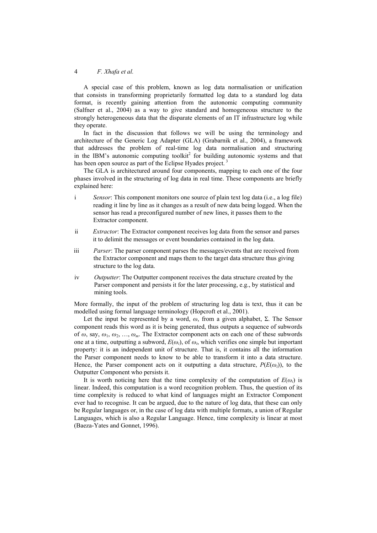A special case of this problem, known as log data normalisation or unification that consists in transforming proprietarily formatted log data to a standard log data format, is recently gaining attention from the autonomic computing community (Salfner et al., 2004) as a way to give standard and homogeneous structure to the strongly heterogeneous data that the disparate elements of an IT infrastructure log while they operate.

In fact in the discussion that follows we will be using the terminology and architecture of the Generic Log Adapter (GLA) (Grabarnik et al., 2004), a framework that addresses the problem of real-time log data normalisation and structuring in the IBM's autonomic computing toolkit<sup>2</sup> for building autonomic systems and that has been open source as part of the Eclipse Hyades project.<sup>3</sup>

The GLA is architectured around four components, mapping to each one of the four phases involved in the structuring of log data in real time. These components are briefly explained here:

- i *Sensor*: This component monitors one source of plain text log data (i.e., a log file) reading it line by line as it changes as a result of new data being logged. When the sensor has read a preconfigured number of new lines, it passes them to the Extractor component.
- ii *Extractor*: The Extractor component receives log data from the sensor and parses it to delimit the messages or event boundaries contained in the log data.
- iii *Parser*: The parser component parses the messages/events that are received from the Extractor component and maps them to the target data structure thus giving structure to the log data.
- iv *Outputter*: The Outputter component receives the data structure created by the Parser component and persists it for the later processing, e.g., by statistical and mining tools.

More formally, the input of the problem of structuring log data is text, thus it can be modelled using formal language terminology (Hopcroft et al., 2001).

Let the input be represented by a word,  $ω$ , from a given alphabet, Σ. The Sensor component reads this word as it is being generated, thus outputs a sequence of subwords of *ω*, say, *ω*1, *ω*2, …, *ωm*. The Extractor component acts on each one of these subwords one at a time, outputting a subword,  $E(\omega_i)$ , of  $\omega_i$ , which verifies one simple but important property: it is an independent unit of structure. That is, it contains all the information the Parser component needs to know to be able to transform it into a data structure. Hence, the Parser component acts on it outputting a data structure,  $P(E(\omega_i))$ , to the Outputter Component who persists it.

It is worth noticing here that the time complexity of the computation of  $E(\omega_i)$  is linear. Indeed, this computation is a word recognition problem. Thus, the question of its time complexity is reduced to what kind of languages might an Extractor Component ever had to recognise. It can be argued, due to the nature of log data, that these can only be Regular languages or, in the case of log data with multiple formats, a union of Regular Languages, which is also a Regular Language. Hence, time complexity is linear at most (Baeza-Yates and Gonnet, 1996).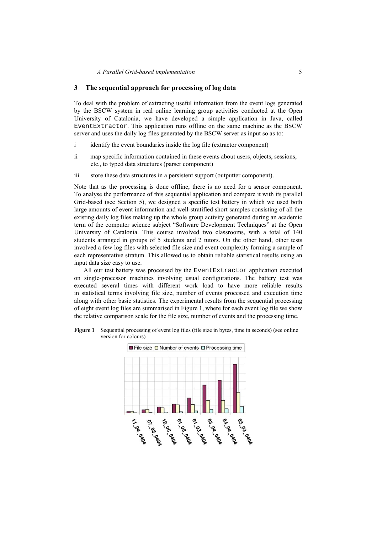#### *A Parallel Grid-based implementation* 5

#### **3 The sequential approach for processing of log data**

To deal with the problem of extracting useful information from the event logs generated by the BSCW system in real online learning group activities conducted at the Open University of Catalonia, we have developed a simple application in Java, called EventExtractor. This application runs offline on the same machine as the BSCW server and uses the daily log files generated by the BSCW server as input so as to:

- i identify the event boundaries inside the log file (extractor component)
- ii map specific information contained in these events about users, objects, sessions, etc., to typed data structures (parser component)
- iii store these data structures in a persistent support (outputter component).

Note that as the processing is done offline, there is no need for a sensor component. To analyse the performance of this sequential application and compare it with its parallel Grid-based (see Section 5), we designed a specific test battery in which we used both large amounts of event information and well-stratified short samples consisting of all the existing daily log files making up the whole group activity generated during an academic term of the computer science subject "Software Development Techniques" at the Open University of Catalonia. This course involved two classrooms, with a total of 140 students arranged in groups of 5 students and 2 tutors. On the other hand, other tests involved a few log files with selected file size and event complexity forming a sample of each representative stratum. This allowed us to obtain reliable statistical results using an input data size easy to use.

All our test battery was processed by the EventExtractor application executed on single-processor machines involving usual configurations. The battery test was executed several times with different work load to have more reliable results in statistical terms involving file size, number of events processed and execution time along with other basic statistics. The experimental results from the sequential processing of eight event log files are summarised in Figure 1, where for each event log file we show the relative comparison scale for the file size, number of events and the processing time.

**Figure 1** Sequential processing of event log files (file size in bytes, time in seconds) (see online version for colours)

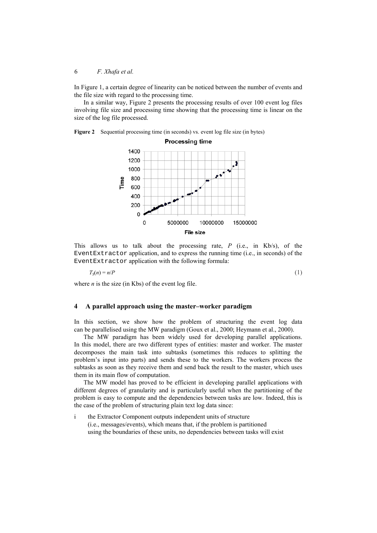In Figure 1, a certain degree of linearity can be noticed between the number of events and the file size with regard to the processing time.

In a similar way, Figure 2 presents the processing results of over 100 event log files involving file size and processing time showing that the processing time is linear on the size of the log file processed.



**Figure 2** Sequential processing time (in seconds) vs. event log file size (in bytes)

This allows us to talk about the processing rate, *P* (i.e., in Kb/s), of the EventExtractor application, and to express the running time (i.e., in seconds) of the EventExtractor application with the following formula:

$$
T_S(n) = n/P \tag{1}
$$

where  $n$  is the size (in Kbs) of the event log file.

#### **4 A parallel approach using the master–worker paradigm**

In this section, we show how the problem of structuring the event log data can be parallelised using the MW paradigm (Goux et al., 2000; Heymann et al., 2000).

The MW paradigm has been widely used for developing parallel applications. In this model, there are two different types of entities: master and worker. The master decomposes the main task into subtasks (sometimes this reduces to splitting the problem's input into parts) and sends these to the workers. The workers process the subtasks as soon as they receive them and send back the result to the master, which uses them in its main flow of computation.

The MW model has proved to be efficient in developing parallel applications with different degrees of granularity and is particularly useful when the partitioning of the problem is easy to compute and the dependencies between tasks are low. Indeed, this is the case of the problem of structuring plain text log data since:

i the Extractor Component outputs independent units of structure (i.e., messages/events), which means that, if the problem is partitioned using the boundaries of these units, no dependencies between tasks will exist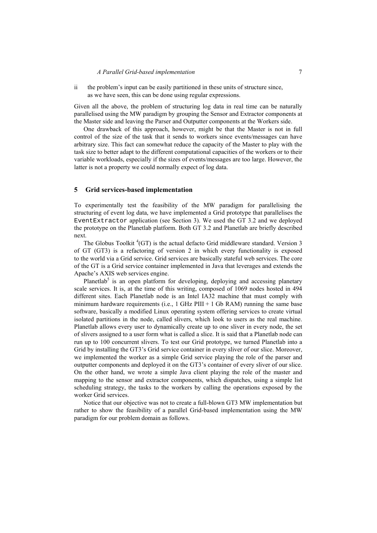ii the problem's input can be easily partitioned in these units of structure since, as we have seen, this can be done using regular expressions.

Given all the above, the problem of structuring log data in real time can be naturally parallelised using the MW paradigm by grouping the Sensor and Extractor components at the Master side and leaving the Parser and Outputter components at the Workers side.

One drawback of this approach, however, might be that the Master is not in full control of the size of the task that it sends to workers since events/messages can have arbitrary size. This fact can somewhat reduce the capacity of the Master to play with the task size to better adapt to the different computational capacities of the workers or to their variable workloads, especially if the sizes of events/messages are too large. However, the latter is not a property we could normally expect of log data.

#### **5 Grid services-based implementation**

To experimentally test the feasibility of the MW paradigm for parallelising the structuring of event log data, we have implemented a Grid prototype that parallelises the EventExtractor application (see Section 3). We used the GT 3.2 and we deployed the prototype on the Planetlab platform. Both GT 3.2 and Planetlab are briefly described next.

The Globus Toolkit  ${}^{4}(GT)$  is the actual defacto Grid middleware standard. Version 3 of GT (GT3) is a refactoring of version 2 in which every functionality is exposed to the world via a Grid service. Grid services are basically stateful web services. The core of the GT is a Grid service container implemented in Java that leverages and extends the Apache's AXIS web services engine.

Planetlab<sup>5</sup> is an open platform for developing, deploying and accessing planetary scale services. It is, at the time of this writing, composed of 1069 nodes hosted in 494 different sites. Each Planetlab node is an Intel IA32 machine that must comply with minimum hardware requirements (i.e.,  $1 \text{ GHz PIII} + 1 \text{ Gb RAM}$ ) running the same base software, basically a modified Linux operating system offering services to create virtual isolated partitions in the node, called slivers, which look to users as the real machine. Planetlab allows every user to dynamically create up to one sliver in every node, the set of slivers assigned to a user form what is called a slice. It is said that a Planetlab node can run up to 100 concurrent slivers. To test our Grid prototype, we turned Planetlab into a Grid by installing the GT3's Grid service container in every sliver of our slice. Moreover, we implemented the worker as a simple Grid service playing the role of the parser and outputter components and deployed it on the GT3's container of every sliver of our slice. On the other hand, we wrote a simple Java client playing the role of the master and mapping to the sensor and extractor components, which dispatches, using a simple list scheduling strategy, the tasks to the workers by calling the operations exposed by the worker Grid services.

Notice that our objective was not to create a full-blown GT3 MW implementation but rather to show the feasibility of a parallel Grid-based implementation using the MW paradigm for our problem domain as follows.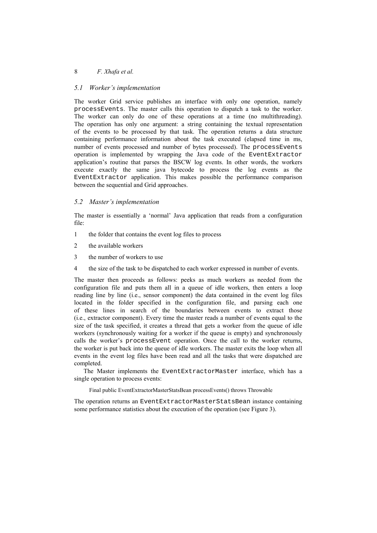#### *5.1 Worker's implementation*

The worker Grid service publishes an interface with only one operation, namely processEvents. The master calls this operation to dispatch a task to the worker. The worker can only do one of these operations at a time (no multithreading). The operation has only one argument: a string containing the textual representation of the events to be processed by that task. The operation returns a data structure containing performance information about the task executed (elapsed time in ms, number of events processed and number of bytes processed). The processEvents operation is implemented by wrapping the Java code of the EventExtractor application's routine that parses the BSCW log events. In other words, the workers execute exactly the same java bytecode to process the log events as the EventExtractor application. This makes possible the performance comparison between the sequential and Grid approaches.

#### *5.2 Master's implementation*

The master is essentially a 'normal' Java application that reads from a configuration file:

- 1 the folder that contains the event log files to process
- 2 the available workers
- 3 the number of workers to use
- 4 the size of the task to be dispatched to each worker expressed in number of events.

The master then proceeds as follows: peeks as much workers as needed from the configuration file and puts them all in a queue of idle workers, then enters a loop reading line by line (i.e., sensor component) the data contained in the event log files located in the folder specified in the configuration file, and parsing each one of these lines in search of the boundaries between events to extract those (i.e., extractor component). Every time the master reads a number of events equal to the size of the task specified, it creates a thread that gets a worker from the queue of idle workers (synchronously waiting for a worker if the queue is empty) and synchronously calls the worker's processEvent operation. Once the call to the worker returns, the worker is put back into the queue of idle workers. The master exits the loop when all events in the event log files have been read and all the tasks that were dispatched are completed.

The Master implements the EventExtractorMaster interface, which has a single operation to process events:

#### Final public EventExtractorMasterStatsBean processEvents() throws Throwable

The operation returns an EventExtractorMasterStatsBean instance containing some performance statistics about the execution of the operation (see Figure 3).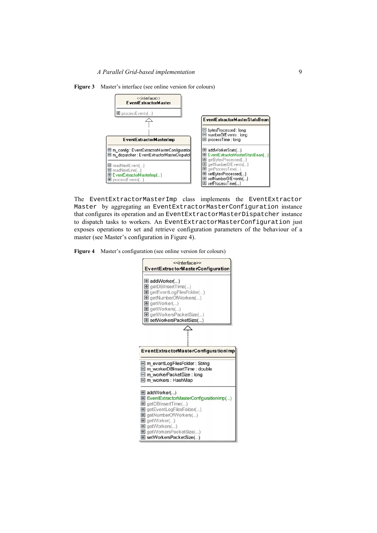

**Figure 3** Master's interface (see online version for colours)

The EventExtractorMasterImp class implements the EventExtractor Master by aggregating an EventExtractorMasterConfiguration instance that configures its operation and an EventExtractorMasterDispatcher instance to dispatch tasks to workers. An EventExtractorMasterConfiguration just exposes operations to set and retrieve configuration parameters of the behaviour of a master (see Master's configuration in Figure 4).

**Figure 4** Master's configuration (see online version for colours)

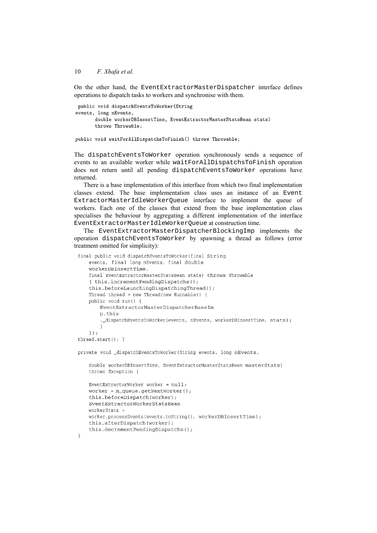$\mathbf{A}$ 

On the other hand, the EventExtractorMasterDispatcher interface defines operations to dispatch tasks to workers and synchronise with them.

```
public void dispatchEventsToWorker(String
events, long nEvents,
      double workerDBInsertTime, EventExtractorMasterStatsBean stats)
      throws Throwable;
```
public void waitForAllDispatchsToFinish() throws Throwable;

The dispatchEventsToWorker operation synchronously sends a sequence of events to an available worker while waitForAllDispatchsToFinish operation does not return until all pending dispatchEventsToWorker operations have returned.

There is a base implementation of this interface from which two final implementation classes extend. The base implementation class uses an instance of an Event ExtractorMasterIdleWorkerQueue interface to implement the queue of workers. Each one of the classes that extend from the base implementation class specialises the behaviour by aggregating a different implementation of the interface EventExtractorMasterIdleWorkerQueue at construction time.

The EventExtractorMasterDispatcherBlockingImp implements the operation dispatchEventsToWorker by spawning a thread as follows (error treatment omitted for simplicity):

```
final public void dispatchEventsToWorker(final String
   events, final long nEvents, final double
   workerDBInsertTime,
   final EventExtractorMasterStatsBean stats) throws Throwable
   { this.incrementPendingDispatchs();
   this.beforeLaunchingDispatchingThread();
   Thread thread = new Thread(new Runnable() {
   public void run() {
       EventExtractorMasterDispatcherBaseIm
       p.this
       . dispatchEventsToWorker (events, nEvents, workerDBInsertTime, stats);
       \mathcal{L}33.5thread.start(); }
```
private void dispatchEventsToWorker(String events, long nEvents,

```
double workerDBInsertTime, EventExtractorMasterStatsBean masterStats)
throws Exception {
```

```
EventExtractorWorker worker = null:worker = m_queue.getNextWorker();this.beforeDispatch(worker);
EventExtractorWorkerStatsBean
workerStats =
worker.processEvents(events.toString(), workerDBInsertTime);
this.afterDispatch(worker);
this.decrementPendingDispatchs();
```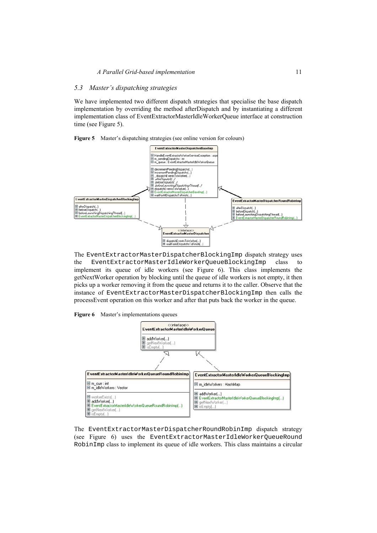#### *5.3 Master's dispatching strategies*

We have implemented two different dispatch strategies that specialise the base dispatch implementation by overriding the method afterDispatch and by instantiating a different implementation class of EventExtractorMasterIdleWorkerQueue interface at construction time (see Figure 5).





The EventExtractorMasterDispatcherBlockingImp dispatch strategy uses the EventExtractorMasterIdleWorkerQueueBlockingImp class to implement its queue of idle workers (see Figure 6). This class implements the getNextWorker operation by blocking until the queue of idle workers is not empty, it then picks up a worker removing it from the queue and returns it to the caller. Observe that the instance of EventExtractorMasterDispatcherBlockingImp then calls the processEvent operation on this worker and after that puts back the worker in the queue.

| Figure 6<br>Master's implementations queues |
|---------------------------------------------|
|---------------------------------------------|



The EventExtractorMasterDispatcherRoundRobinImp dispatch strategy (see Figure 6) uses the EventExtractorMasterIdleWorkerQueueRound RobinImp class to implement its queue of idle workers. This class maintains a circular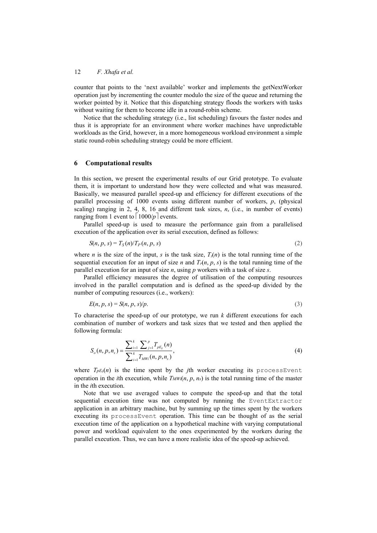counter that points to the 'next available' worker and implements the getNextWorker operation just by incrementing the counter modulo the size of the queue and returning the worker pointed by it. Notice that this dispatching strategy floods the workers with tasks without waiting for them to become idle in a round-robin scheme.

Notice that the scheduling strategy (i.e., list scheduling) favours the faster nodes and thus it is appropriate for an environment where worker machines have unpredictable workloads as the Grid, however, in a more homogeneous workload environment a simple static round-robin scheduling strategy could be more efficient.

#### **6 Computational results**

In this section, we present the experimental results of our Grid prototype. To evaluate them, it is important to understand how they were collected and what was measured. Basically, we measured parallel speed-up and efficiency for different executions of the parallel processing of 1000 events using different number of workers, *p*, (physical scaling) ranging in 2, 4, 8, 16 and different task sizes,  $n<sub>s</sub>$  (i.e., in number of events) ranging from 1 event to  $\lceil 1000/p \rceil$  events.

Parallel speed-up is used to measure the performance gain from a parallelised execution of the application over its serial execution, defined as follows:

$$
S(n, p, s) = T_S(n)/T_P(n, p, s)
$$
\n<sup>(2)</sup>

where *n* is the size of the input, *s* is the task size,  $T_s(n)$  is the total running time of the sequential execution for an input of size *n* and  $T<sub>r</sub>(n, p, s)$  is the total running time of the parallel execution for an input of size *n*, using *p* workers with a task of size *s*.

Parallel efficiency measures the degree of utilisation of the computing resources involved in the parallel computation and is defined as the speed-up divided by the number of computing resources (i.e., workers):

$$
E(n, p, s) = S(n, p, s)/p. \tag{3}
$$

To characterise the speed-up of our prototype, we run *k* different executions for each combination of number of workers and task sizes that we tested and then applied the following formula:

$$
S_o(n, p, n_s) = \frac{\sum_{i=1}^{k} \sum_{j=1}^{p} T_{pE_{ij}}(n)}{\sum_{i=1}^{k} T_{MWi}(n, p, n_s)},
$$
\n(4)

where  $T_{pEij}(n)$  is the time spent by the *j*th worker executing its processEvent operation in the *i*th execution, while  $T_{MWi}(n, p, n_s)$  is the total running time of the master in the *i*th execution.

Note that we use averaged values to compute the speed-up and that the total sequential execution time was not computed by running the EventExtractor application in an arbitrary machine, but by summing up the times spent by the workers executing its processEvent operation. This time can be thought of as the serial execution time of the application on a hypothetical machine with varying computational power and workload equivalent to the ones experimented by the workers during the parallel execution. Thus, we can have a more realistic idea of the speed-up achieved.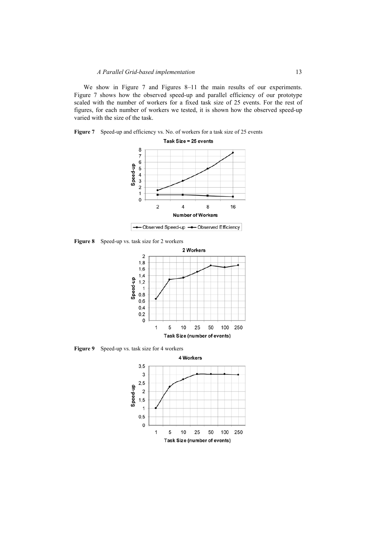We show in Figure 7 and Figures 8–11 the main results of our experiments. Figure 7 shows how the observed speed-up and parallel efficiency of our prototype scaled with the number of workers for a fixed task size of 25 events. For the rest of figures, for each number of workers we tested, it is shown how the observed speed-up varied with the size of the task.

Figure 7 Speed-up and efficiency vs. No. of workers for a task size of 25 events Task Size = 25 events



-- Observed Speed-up -- Observed Efficiency

**Figure 8** Speed-up vs. task size for 2 workers



**Figure 9** Speed-up vs. task size for 4 workers

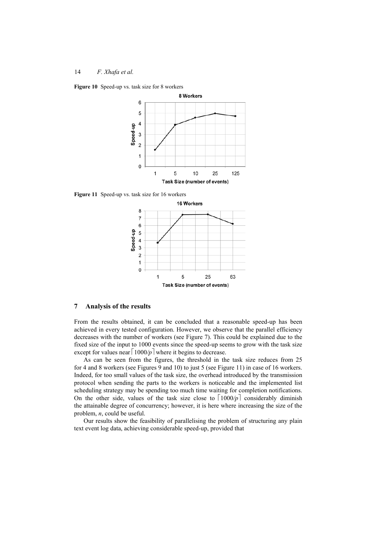



**Figure 11** Speed-up vs. task size for 16 workers



#### **7 Analysis of the results**

From the results obtained, it can be concluded that a reasonable speed-up has been achieved in every tested configuration. However, we observe that the parallel efficiency decreases with the number of workers (see Figure 7). This could be explained due to the fixed size of the input to 1000 events since the speed-up seems to grow with the task size except for values near  $\lceil 1000/p \rceil$  where it begins to decrease.

As can be seen from the figures, the threshold in the task size reduces from 25 for 4 and 8 workers (see Figures 9 and 10) to just 5 (see Figure 11) in case of 16 workers. Indeed, for too small values of the task size, the overhead introduced by the transmission protocol when sending the parts to the workers is noticeable and the implemented list scheduling strategy may be spending too much time waiting for completion notifications. On the other side, values of the task size close to  $\lceil 1000/p \rceil$  considerably diminish the attainable degree of concurrency; however, it is here where increasing the size of the problem, *n*, could be useful.

Our results show the feasibility of parallelising the problem of structuring any plain text event log data, achieving considerable speed-up, provided that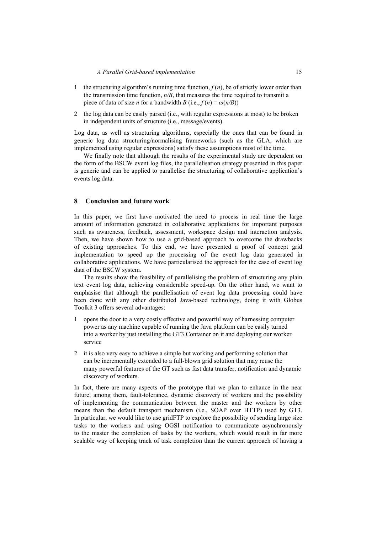- 1 the structuring algorithm's running time function,  $f(n)$ , be of strictly lower order than the transmission time function,  $n/B$ , that measures the time required to transmit a piece of data of size *n* for a bandwidth *B* (i.e.,  $f(n) = \omega(n/B)$ )
- 2 the log data can be easily parsed (i.e., with regular expressions at most) to be broken in independent units of structure (i.e., message/events).

Log data, as well as structuring algorithms, especially the ones that can be found in generic log data structuring/normalising frameworks (such as the GLA, which are implemented using regular expressions) satisfy these assumptions most of the time.

We finally note that although the results of the experimental study are dependent on the form of the BSCW event log files, the parallelisation strategy presented in this paper is generic and can be applied to parallelise the structuring of collaborative application's events log data.

#### **8 Conclusion and future work**

In this paper, we first have motivated the need to process in real time the large amount of information generated in collaborative applications for important purposes such as awareness, feedback, assessment, workspace design and interaction analysis. Then, we have shown how to use a grid-based approach to overcome the drawbacks of existing approaches. To this end, we have presented a proof of concept grid implementation to speed up the processing of the event log data generated in collaborative applications. We have particularised the approach for the case of event log data of the BSCW system.

The results show the feasibility of parallelising the problem of structuring any plain text event log data, achieving considerable speed-up. On the other hand, we want to emphasise that although the parallelisation of event log data processing could have been done with any other distributed Java-based technology, doing it with Globus Toolkit 3 offers several advantages:

- 1 opens the door to a very costly effective and powerful way of harnessing computer power as any machine capable of running the Java platform can be easily turned into a worker by just installing the GT3 Container on it and deploying our worker service
- 2 it is also very easy to achieve a simple but working and performing solution that can be incrementally extended to a full-blown grid solution that may reuse the many powerful features of the GT such as fast data transfer, notification and dynamic discovery of workers.

In fact, there are many aspects of the prototype that we plan to enhance in the near future, among them, fault-tolerance, dynamic discovery of workers and the possibility of implementing the communication between the master and the workers by other means than the default transport mechanism (i.e., SOAP over HTTP) used by GT3. In particular, we would like to use gridFTP to explore the possibility of sending large size tasks to the workers and using OGSI notification to communicate asynchronously to the master the completion of tasks by the workers, which would result in far more scalable way of keeping track of task completion than the current approach of having a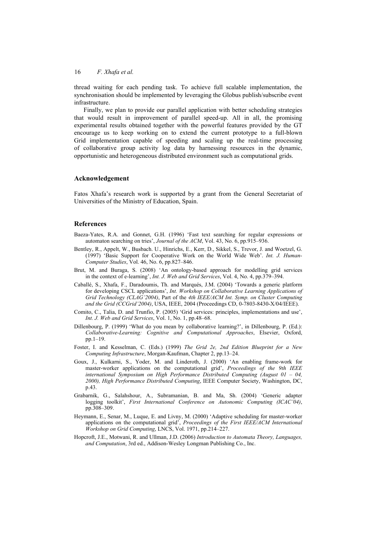thread waiting for each pending task. To achieve full scalable implementation, the synchronisation should be implemented by leveraging the Globus publish/subscribe event infrastructure.

Finally, we plan to provide our parallel application with better scheduling strategies that would result in improvement of parallel speed-up. All in all, the promising experimental results obtained together with the powerful features provided by the GT encourage us to keep working on to extend the current prototype to a full-blown Grid implementation capable of speeding and scaling up the real-time processing of collaborative group activity log data by harnessing resources in the dynamic, opportunistic and heterogeneous distributed environment such as computational grids.

#### **Acknowledgement**

Fatos Xhafa's research work is supported by a grant from the General Secretariat of Universities of the Ministry of Education, Spain.

#### **References**

- Baeza-Yates, R.A. and Gonnet, G.H. (1996) 'Fast text searching for regular expressions or automaton searching on tries', *Journal of the ACM*, Vol. 43, No. 6, pp.915–936.
- Bentley, R., Appelt, W., Busbach. U., Hinrichs, E., Kerr, D., Sikkel, S., Trevor, J. and Woetzel, G. (1997) 'Basic Support for Cooperative Work on the World Wide Web'. *Int. J. Human-Computer Studies*, Vol. 46, No. 6, pp.827–846.
- Brut, M. and Buraga, S. (2008) 'An ontology-based approach for modelling grid services in the context of e-learning', *Int. J. Web and Grid Services*, Vol. 4, No. 4, pp.379–394.
- Caballé, S., Xhafa, F., Daradoumis, Th. and Marqués, J.M. (2004) 'Towards a generic platform for developing CSCL applications', *Int. Workshop on Collaborative Learning Applications of Grid Technology (CLAG'2004)*, Part of the *4th IEEE/ACM Int. Symp. on Cluster Computing and the Grid (CCGrid'2004)*, USA, IEEE, 2004 (Proceedings CD, 0-7803-8430-X/04/IEEE).
- Comito, C., Talia, D. and Trunfio, P. (2005) 'Grid services: principles, implementations and use', *Int. J. Web and Grid Services*, Vol. 1, No. 1, pp.48–68.
- Dillenbourg, P. (1999) 'What do you mean by collaborative learning?', in Dillenbourg, P. (Ed.): *Collaborative-Learning: Cognitive and Computational Approaches*, Elsevier, Oxford, pp.1–19.
- Foster, I. and Kesselman, C. (Eds.) (1999) *The Grid 2e, 2nd Edition Blueprint for a New Computing Infrastructure*, Morgan-Kaufman, Chapter 2, pp.13–24.
- Goux, J., Kulkarni, S., Yoder, M. and Linderoth, J. (2000) 'An enabling frame-work for master-worker applications on the computational grid', *Proceedings of the 9th IEEE international Symposium on High Performance Distributed Computing (August 01 – 04, 2000), High Performance Distributed Computing*, IEEE Computer Society, Washington, DC, p.43.
- Grabarnik, G., Salahshour, A., Subramanian, B. and Ma, Sh. (2004) 'Generic adapter logging toolkit', *First International Conference on Autonomic Computing (ICAC'04)*, pp.308–309.
- Heymann, E., Senar, M., Luque, E. and Livny, M. (2000) 'Adaptive scheduling for master-worker applications on the computational grid', *Proceedings of the First IEEE/ACM International Workshop on Grid Computing*, LNCS, Vol. 1971, pp.214–227.
- Hopcroft, J.E., Motwani, R. and Ullman, J.D. (2006) *Introduction to Automata Theory, Languages, and Computation*, 3rd ed., Addison-Wesley Longman Publishing Co., Inc.